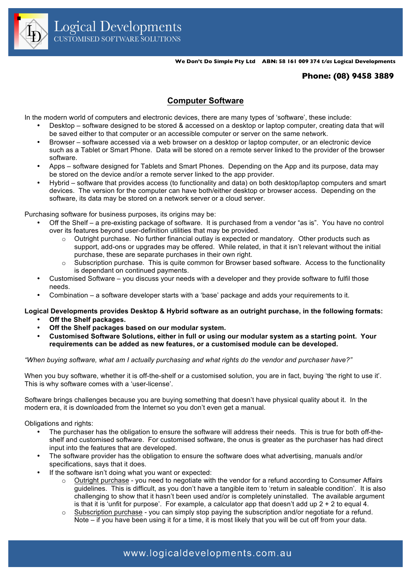

**We Don't Do Simple Pty Ltd ABN: 58 161 009 374** *t/as* **Logical Developments**

## **Phone: (08) 9458 3889**

## **Computer Software**

In the modern world of computers and electronic devices, there are many types of 'software', these include:

- Desktop software designed to be stored & accessed on a desktop or laptop computer, creating data that will be saved either to that computer or an accessible computer or server on the same network.
- Browser software accessed via a web browser on a desktop or laptop computer, or an electronic device such as a Tablet or Smart Phone. Data will be stored on a remote server linked to the provider of the browser software.
- Apps software designed for Tablets and Smart Phones. Depending on the App and its purpose, data may be stored on the device and/or a remote server linked to the app provider.
- Hybrid software that provides access (to functionality and data) on both desktop/laptop computers and smart devices. The version for the computer can have both/either desktop or browser access. Depending on the software, its data may be stored on a network server or a cloud server.

Purchasing software for business purposes, its origins may be:

- Off the Shelf a pre-existing package of software. It is purchased from a vendor "as is". You have no control over its features beyond user-definition utilities that may be provided.
	- $\circ$  Outright purchase. No further financial outlay is expected or mandatory. Other products such as support, add-ons or upgrades may be offered. While related, in that it isn't relevant without the initial purchase, these are separate purchases in their own right.
	- $\circ$  Subscription purchase. This is quite common for Browser based software. Access to the functionality is dependant on continued payments.
- Customised Software you discuss your needs with a developer and they provide software to fulfil those needs.
- Combination a software developer starts with a 'base' package and adds your requirements to it.

**Logical Developments provides Desktop & Hybrid software as an outright purchase, in the following formats:**

- **Off the Shelf packages.**
- **Off the Shelf packages based on our modular system.**
- **Customised Software Solutions, either in full or using our modular system as a starting point. Your requirements can be added as new features, or a customised module can be developed.**

*"When buying software, what am I actually purchasing and what rights do the vendor and purchaser have?"*

When you buy software, whether it is off-the-shelf or a customised solution, you are in fact, buying 'the right to use it'. This is why software comes with a 'user-license'.

Software brings challenges because you are buying something that doesn't have physical quality about it. In the modern era, it is downloaded from the Internet so you don't even get a manual.

Obligations and rights:

- The purchaser has the obligation to ensure the software will address their needs. This is true for both off-theshelf and customised software. For customised software, the onus is greater as the purchaser has had direct input into the features that are developed.
- The software provider has the obligation to ensure the software does what advertising, manuals and/or specifications, says that it does.
- If the software isn't doing what you want or expected:
	- $\circ$  Outright purchase you need to negotiate with the vendor for a refund according to Consumer Affairs guidelines. This is difficult, as you don't have a tangible item to 'return in saleable condition'. It is also challenging to show that it hasn't been used and/or is completely uninstalled. The available argument is that it is 'unfit for purpose'. For example, a calculator app that doesn't add up  $2 + 2$  to equal 4.
	- $\circ$  Subscription purchase you can simply stop paying the subscription and/or negotiate for a refund. Note – if you have been using it for a time, it is most likely that you will be cut off from your data.

www.logicaldevelopments.com.au